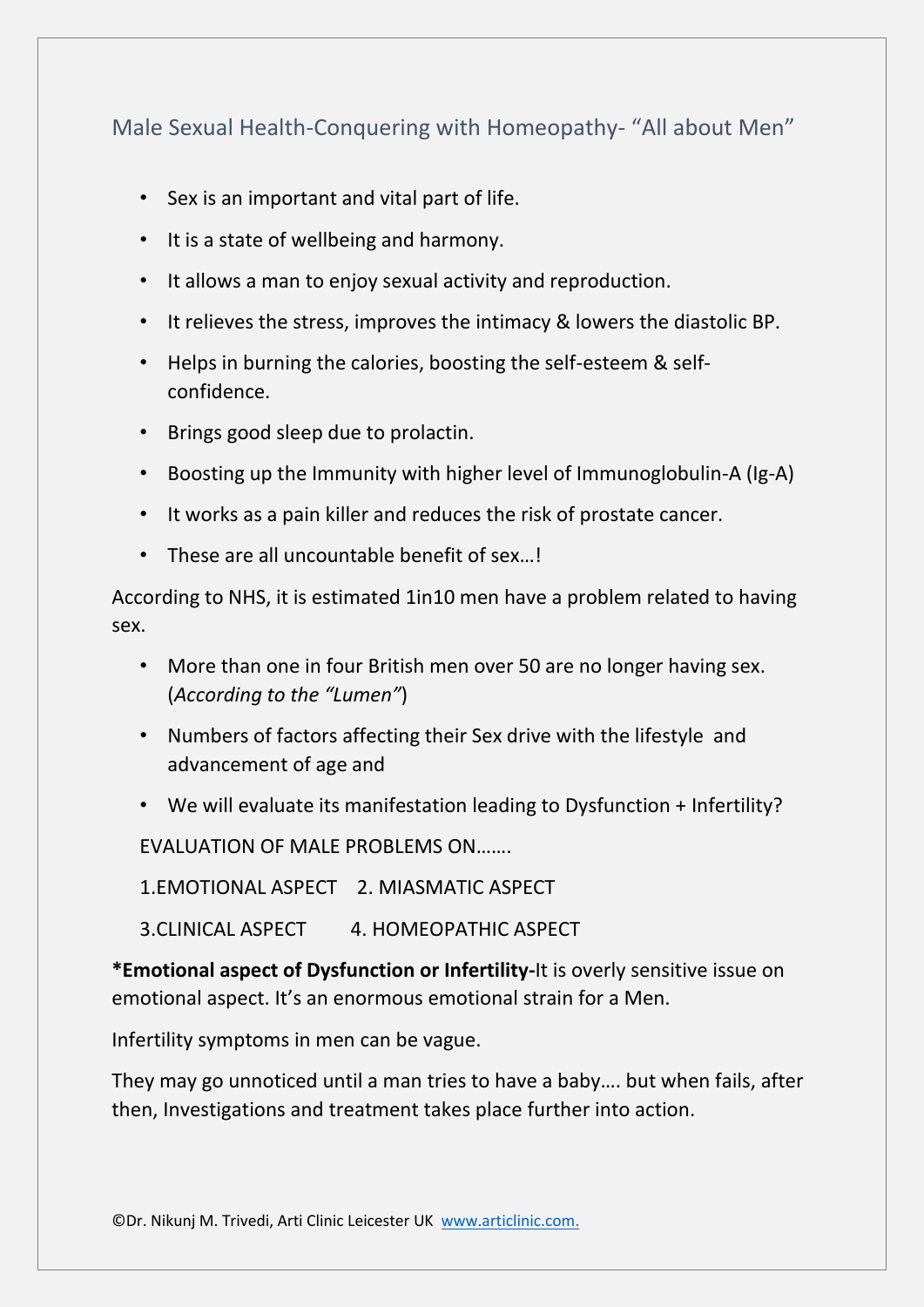# Male Sexual Health-Conquering with Homeopathy- "All about Men"

- Sex is an important and vital part of life.
- It is a state of wellbeing and harmony.
- It allows a man to enjoy sexual activity and reproduction.
- It relieves the stress, improves the intimacy & lowers the diastolic BP.
- Helps in burning the calories, boosting the self-esteem & selfconfidence.
- Brings good sleep due to prolactin.
- Boosting up the Immunity with higher level of Immunoglobulin-A (Ig-A)
- It works as a pain killer and reduces the risk of prostate cancer.
- These are all uncountable benefit of sex. I

According to NHS, it is estimated 1in10 men have a problem related to having sex.

- More than one in four British men over 50 are no longer having sex. (*According to the "Lumen"*)
- Numbers of factors affecting their Sex drive with the lifestyle and advancement of age and
- We will evaluate its manifestation leading to Dysfunction + Infertility?

EVALUATION OF MALE PROBLEMS ON…….

1.EMOTIONAL ASPECT 2. MIASMATIC ASPECT

3.CLINICAL ASPECT 4. HOMEOPATHIC ASPECT

**\*Emotional aspect of Dysfunction or Infertility-**It is overly sensitive issue on emotional aspect. It's an enormous emotional strain for a Men.

Infertility symptoms in men can be vague.

They may go unnoticed until a man tries to have a baby…. but when fails, after then, Investigations and treatment takes place further into action.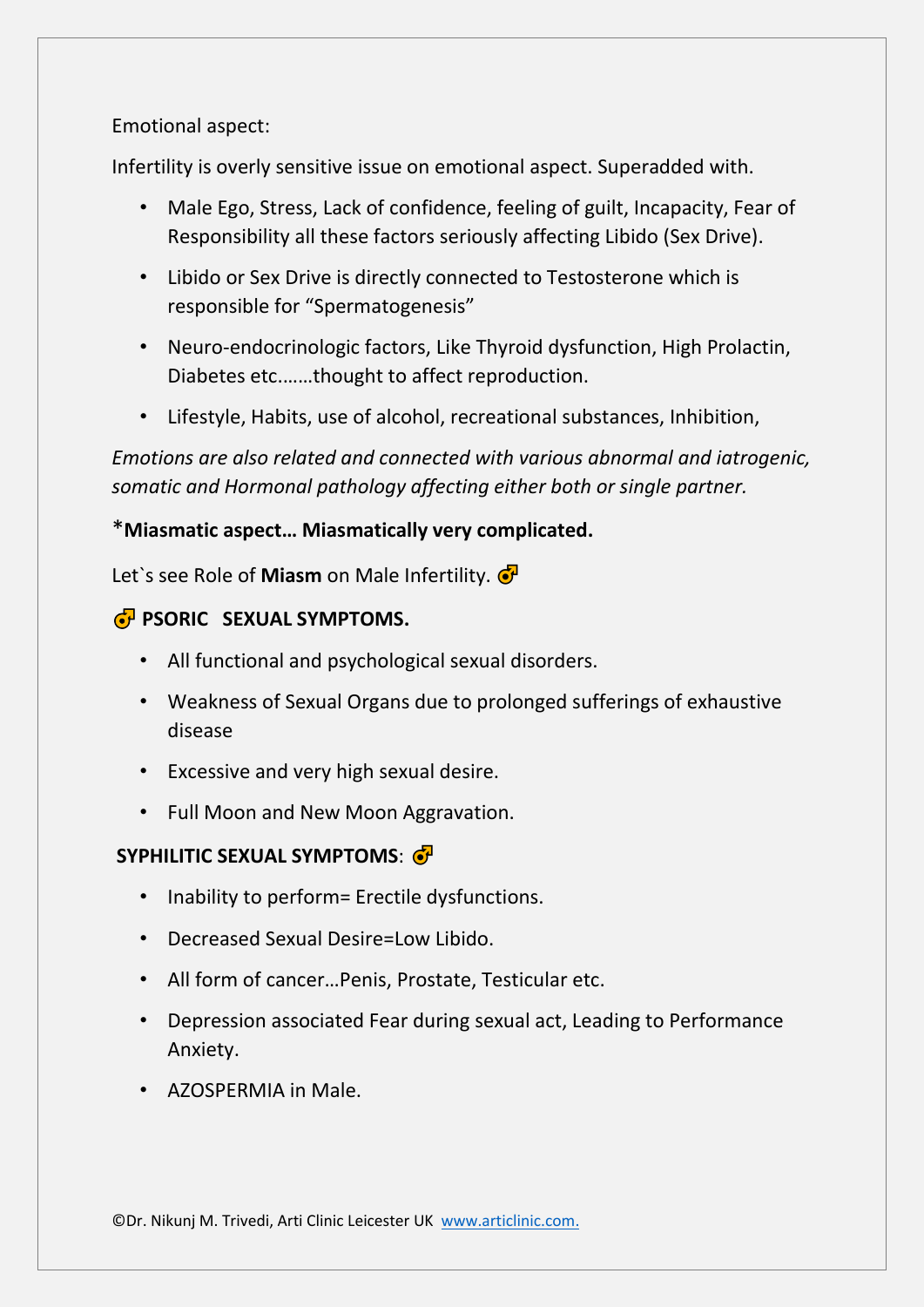Emotional aspect:

Infertility is overly sensitive issue on emotional aspect. Superadded with.

- Male Ego, Stress, Lack of confidence, feeling of guilt, Incapacity, Fear of Responsibility all these factors seriously affecting Libido (Sex Drive).
- Libido or Sex Drive is directly connected to Testosterone which is responsible for "Spermatogenesis"
- Neuro-endocrinologic factors, Like Thyroid dysfunction, High Prolactin, Diabetes etc.……thought to affect reproduction.
- Lifestyle, Habits, use of alcohol, recreational substances, Inhibition,

*Emotions are also related and connected with various abnormal and iatrogenic, somatic and Hormonal pathology affecting either both or single partner.*

## \***Miasmatic aspect… Miasmatically very complicated.**

Let`s see Role of **Miasm** on Male Infertility.

## *PSORIC SEXUAL SYMPTOMS.*

- All functional and psychological sexual disorders.
- Weakness of Sexual Organs due to prolonged sufferings of exhaustive disease
- Excessive and very high sexual desire.
- Full Moon and New Moon Aggravation.

## **SYPHILITIC SEXUAL SYMPTOMS**:

- Inability to perform= Erectile dysfunctions.
- Decreased Sexual Desire=Low Libido.
- All form of cancer…Penis, Prostate, Testicular etc.
- Depression associated Fear during sexual act, Leading to Performance Anxiety.
- AZOSPERMIA in Male.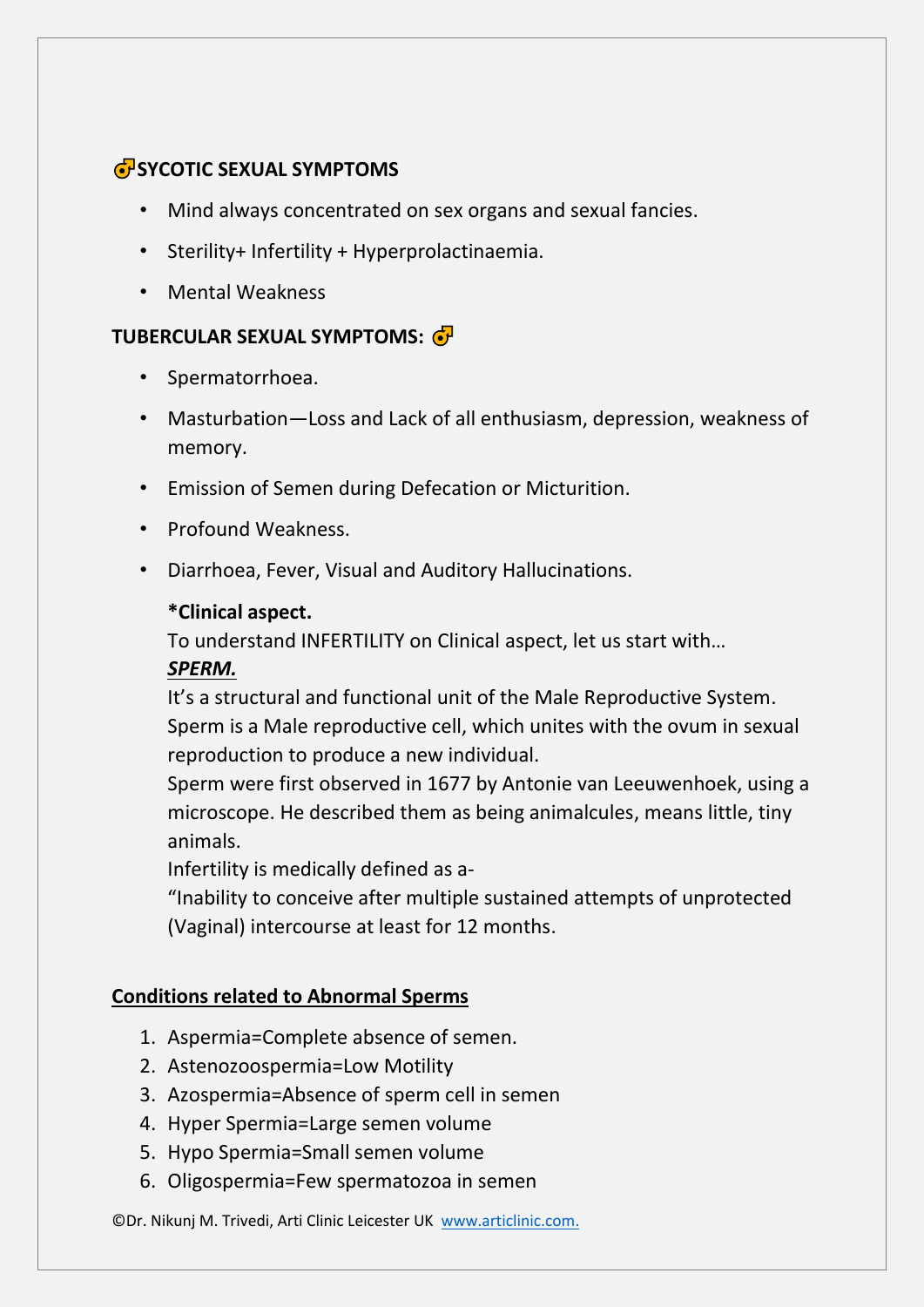## **SP**SYCOTIC SEXUAL SYMPTOMS

- Mind always concentrated on sex organs and sexual fancies.
- Sterility+ Infertility + Hyperprolactinaemia.
- Mental Weakness

## **TUBERCULAR SEXUAL SYMPTOMS:**

- Spermatorrhoea.
- Masturbation—Loss and Lack of all enthusiasm, depression, weakness of memory.
- Emission of Semen during Defecation or Micturition.
- Profound Weakness.
- Diarrhoea, Fever, Visual and Auditory Hallucinations.

## **\*Clinical aspect.**

To understand INFERTILITY on Clinical aspect, let us start with…

## *SPERM.*

It's a structural and functional unit of the Male Reproductive System. Sperm is a Male reproductive cell, which unites with the ovum in sexual reproduction to produce a new individual.

Sperm were first observed in 1677 by Antonie van Leeuwenhoek, using a microscope. He described them as being animalcules, means little, tiny animals.

Infertility is medically defined as a-

"Inability to conceive after multiple sustained attempts of unprotected (Vaginal) intercourse at least for 12 months.

## **Conditions related to Abnormal Sperms**

- 1. Aspermia=Complete absence of semen.
- 2. Astenozoospermia=Low Motility
- 3. Azospermia=Absence of sperm cell in semen
- 4. Hyper Spermia=Large semen volume
- 5. Hypo Spermia=Small semen volume
- 6. Oligospermia=Few spermatozoa in semen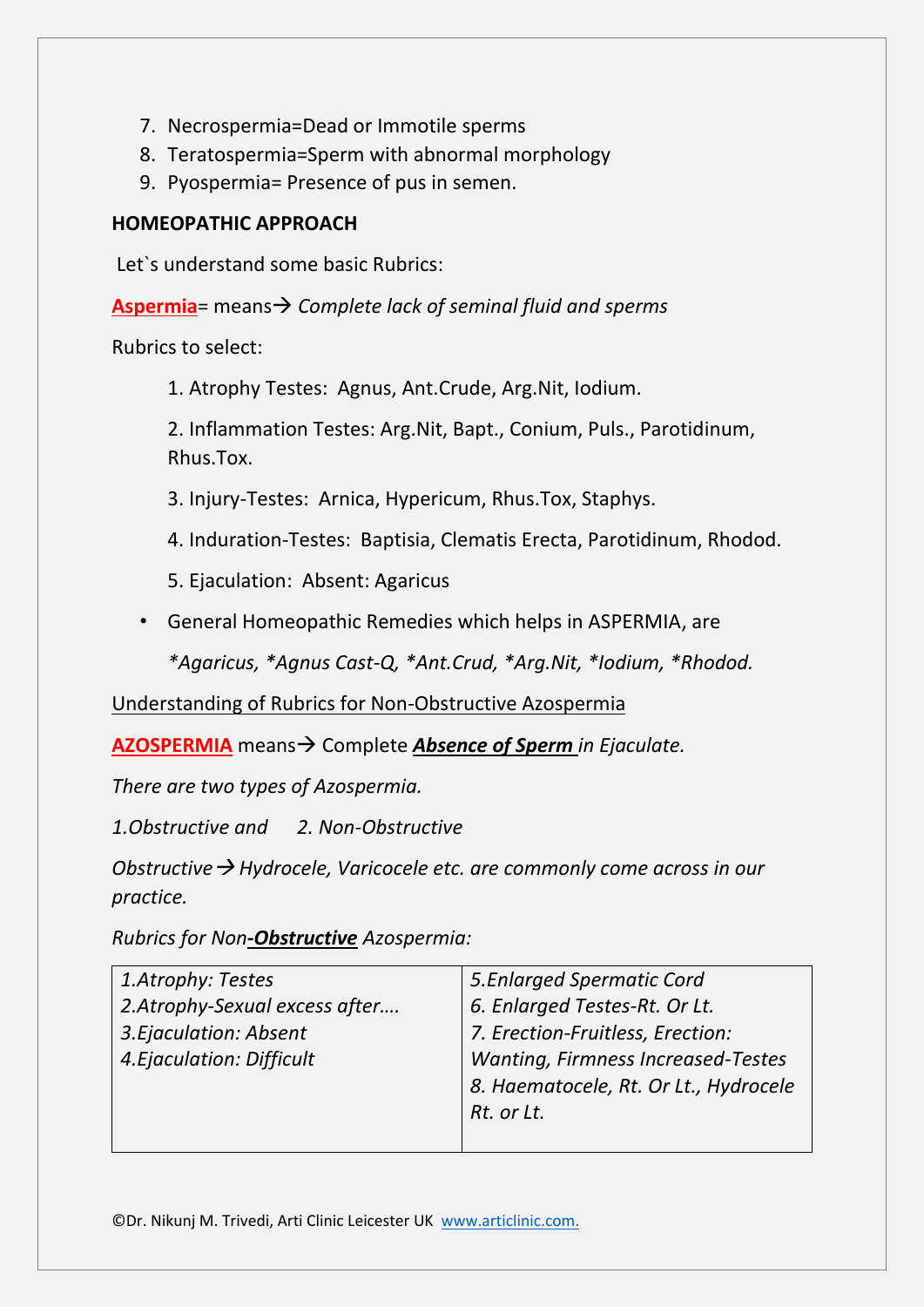- 7. Necrospermia=Dead or Immotile sperms
- 8. Teratospermia=Sperm with abnormal morphology
- 9. Pyospermia= Presence of pus in semen.

## **HOMEOPATHIC APPROACH**

Let`s understand some basic Rubrics:

**Aspermia**= means→ *Complete lack of seminal fluid and sperms*

Rubrics to select:

1. Atrophy Testes: Agnus, Ant.Crude, Arg.Nit, Iodium.

2. Inflammation Testes: Arg.Nit, Bapt., Conium, Puls., Parotidinum, Rhus.Tox.

- 3. Injury-Testes: Arnica, Hypericum, Rhus.Tox, Staphys.
- 4. Induration-Testes: Baptisia, Clematis Erecta, Parotidinum, Rhodod.
- 5. Ejaculation: Absent: Agaricus
- General Homeopathic Remedies which helps in ASPERMIA, are

*\*Agaricus, \*Agnus Cast-Q, \*Ant.Crud, \*Arg.Nit, \*Iodium, \*Rhodod.*

Understanding of Rubrics for Non-Obstructive Azospermia

**AZOSPERMIA** means→ Complete *Absence of Sperm in Ejaculate.* 

*There are two types of Azospermia.*

*1.Obstructive and 2. Non-Obstructive*

*Obstructive*→ *Hydrocele, Varicocele etc. are commonly come across in our practice.*

*Rubrics for Non-Obstructive Azospermia:*

| 1.Atrophy: Testes             | 5. Enlarged Spermatic Cord                |
|-------------------------------|-------------------------------------------|
| 2.Atrophy-Sexual excess after | 6. Enlarged Testes-Rt. Or Lt.             |
| 3. Ejaculation: Absent        | 7. Erection-Fruitless, Erection:          |
| 4. Ejaculation: Difficult     | <b>Wanting, Firmness Increased-Testes</b> |
|                               | 8. Haematocele, Rt. Or Lt., Hydrocele     |
|                               | Rt. or Lt.                                |
|                               |                                           |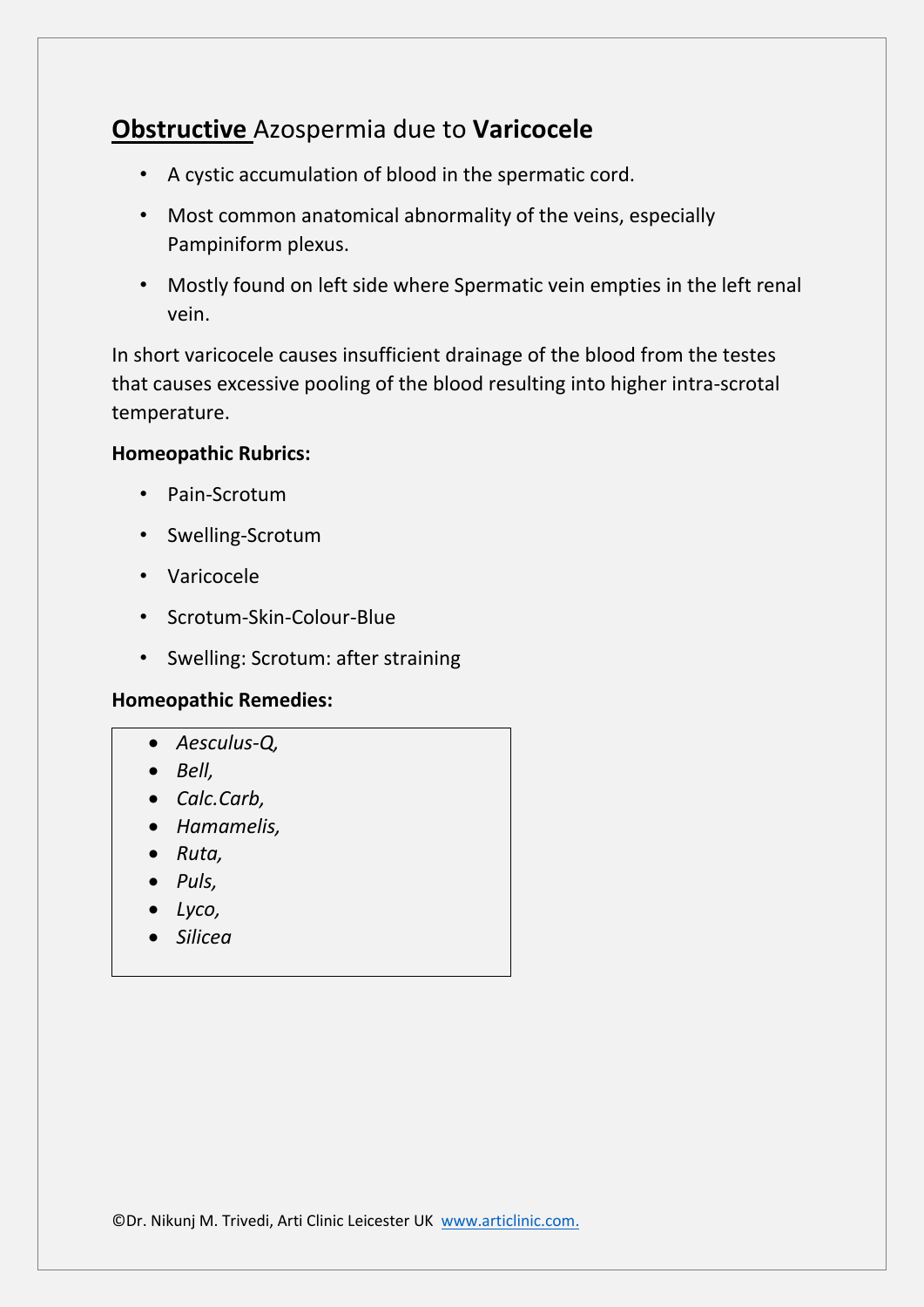# **Obstructive** Azospermia due to **Varicocele**

- A cystic accumulation of blood in the spermatic cord.
- Most common anatomical abnormality of the veins, especially Pampiniform plexus.
- Mostly found on left side where Spermatic vein empties in the left renal vein.

In short varicocele causes insufficient drainage of the blood from the testes that causes excessive pooling of the blood resulting into higher intra-scrotal temperature.

## **Homeopathic Rubrics:**

- Pain-Scrotum
- Swelling-Scrotum
- Varicocele
- Scrotum-Skin-Colour-Blue
- Swelling: Scrotum: after straining

## **Homeopathic Remedies:**

- *Aesculus-Q,*
- *Bell,*
- *Calc.Carb,*
- *Hamamelis,*
- *Ruta,*
- *Puls,*
- *Lyco,*
- *Silicea*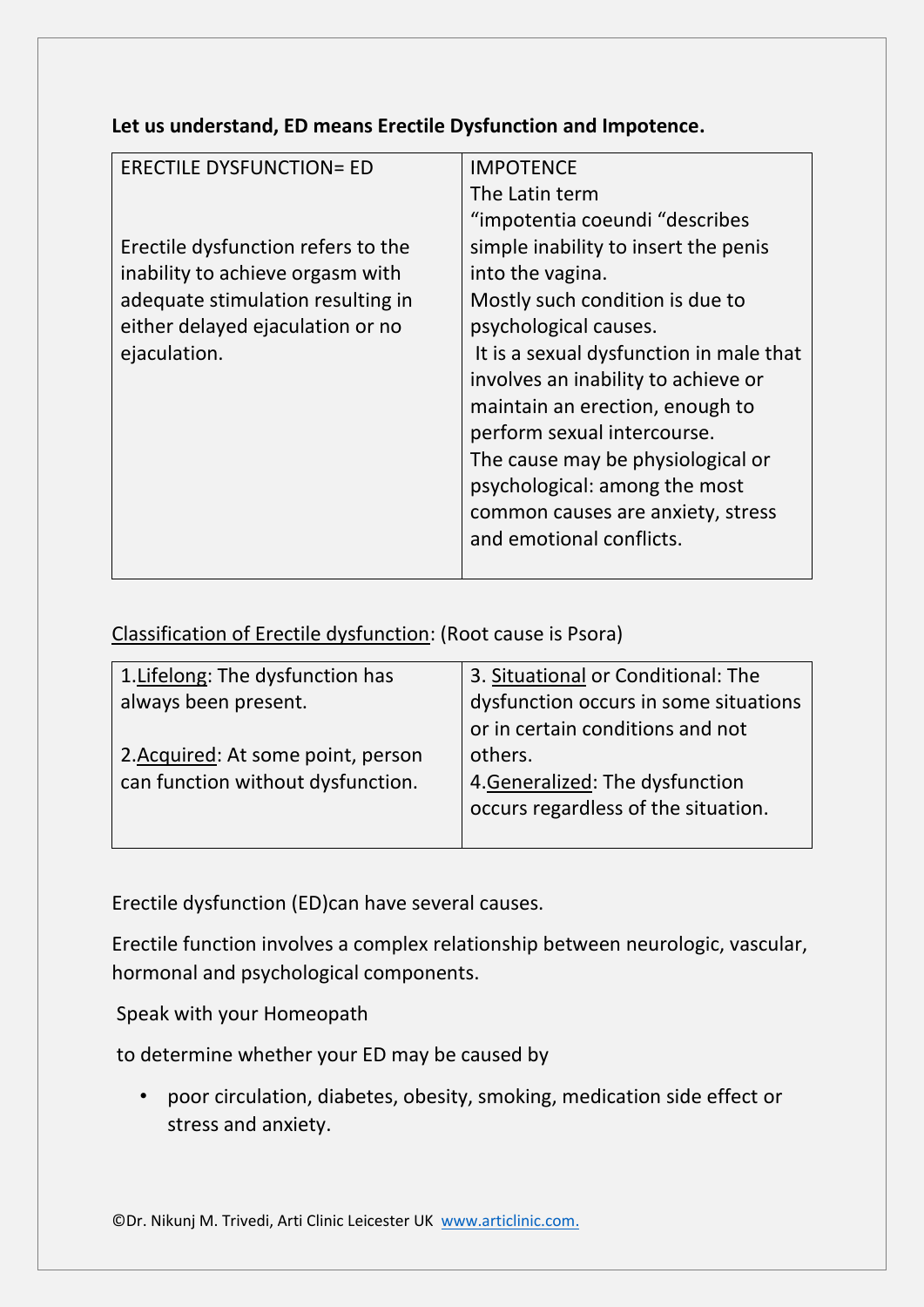**Let us understand, ED means Erectile Dysfunction and Impotence.**

| <b>ERECTILE DYSFUNCTION= ED</b>    | <b>IMPOTENCE</b>                        |
|------------------------------------|-----------------------------------------|
|                                    | The Latin term                          |
|                                    | "impotentia coeundi "describes          |
| Erectile dysfunction refers to the | simple inability to insert the penis    |
| inability to achieve orgasm with   | into the vagina.                        |
| adequate stimulation resulting in  | Mostly such condition is due to         |
| either delayed ejaculation or no   | psychological causes.                   |
| ejaculation.                       | It is a sexual dysfunction in male that |
|                                    | involves an inability to achieve or     |
|                                    | maintain an erection, enough to         |
|                                    | perform sexual intercourse.             |
|                                    | The cause may be physiological or       |
|                                    | psychological: among the most           |
|                                    | common causes are anxiety, stress       |
|                                    | and emotional conflicts.                |
|                                    |                                         |

## Classification of Erectile dysfunction: (Root cause is Psora)

| 1. Lifelong: The dysfunction has   | 3. Situational or Conditional: The    |
|------------------------------------|---------------------------------------|
| always been present.               | dysfunction occurs in some situations |
|                                    | or in certain conditions and not      |
| 2. Acquired: At some point, person | others.                               |
| can function without dysfunction.  | 4. Generalized: The dysfunction       |
|                                    | occurs regardless of the situation.   |
|                                    |                                       |

Erectile dysfunction (ED)can have several causes.

Erectile function involves a complex relationship between neurologic, vascular, hormonal and psychological components.

Speak with your Homeopath

to determine whether your ED may be caused by

• poor circulation, diabetes, obesity, smoking, medication side effect or stress and anxiety.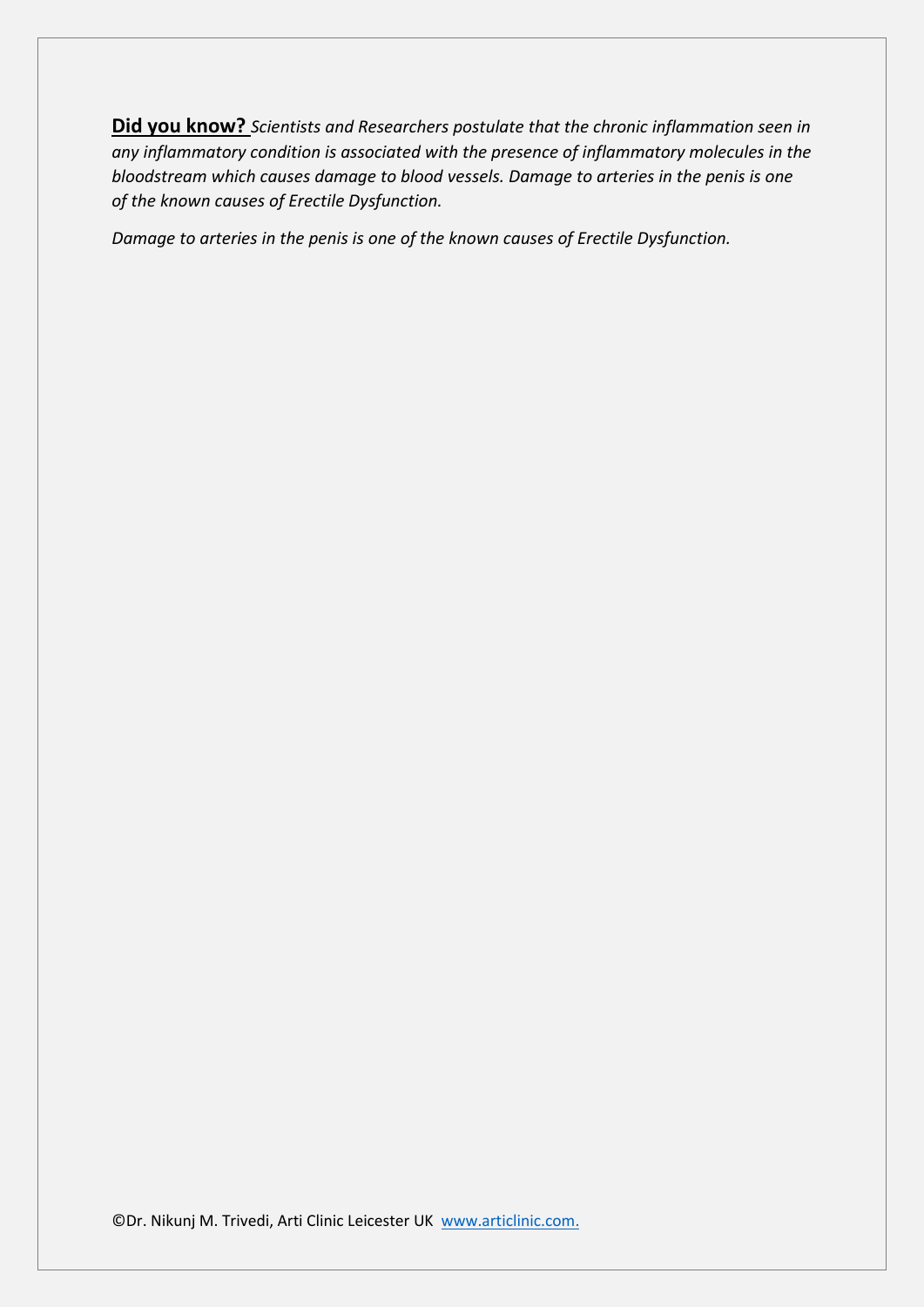**Did you know?** *Scientists and Researchers postulate that the chronic inflammation seen in any inflammatory condition is associated with the presence of inflammatory molecules in the bloodstream which causes damage to blood vessels. Damage to arteries in the penis is one of the known causes of Erectile Dysfunction.*

*Damage to arteries in the penis is one of the known causes of Erectile Dysfunction.*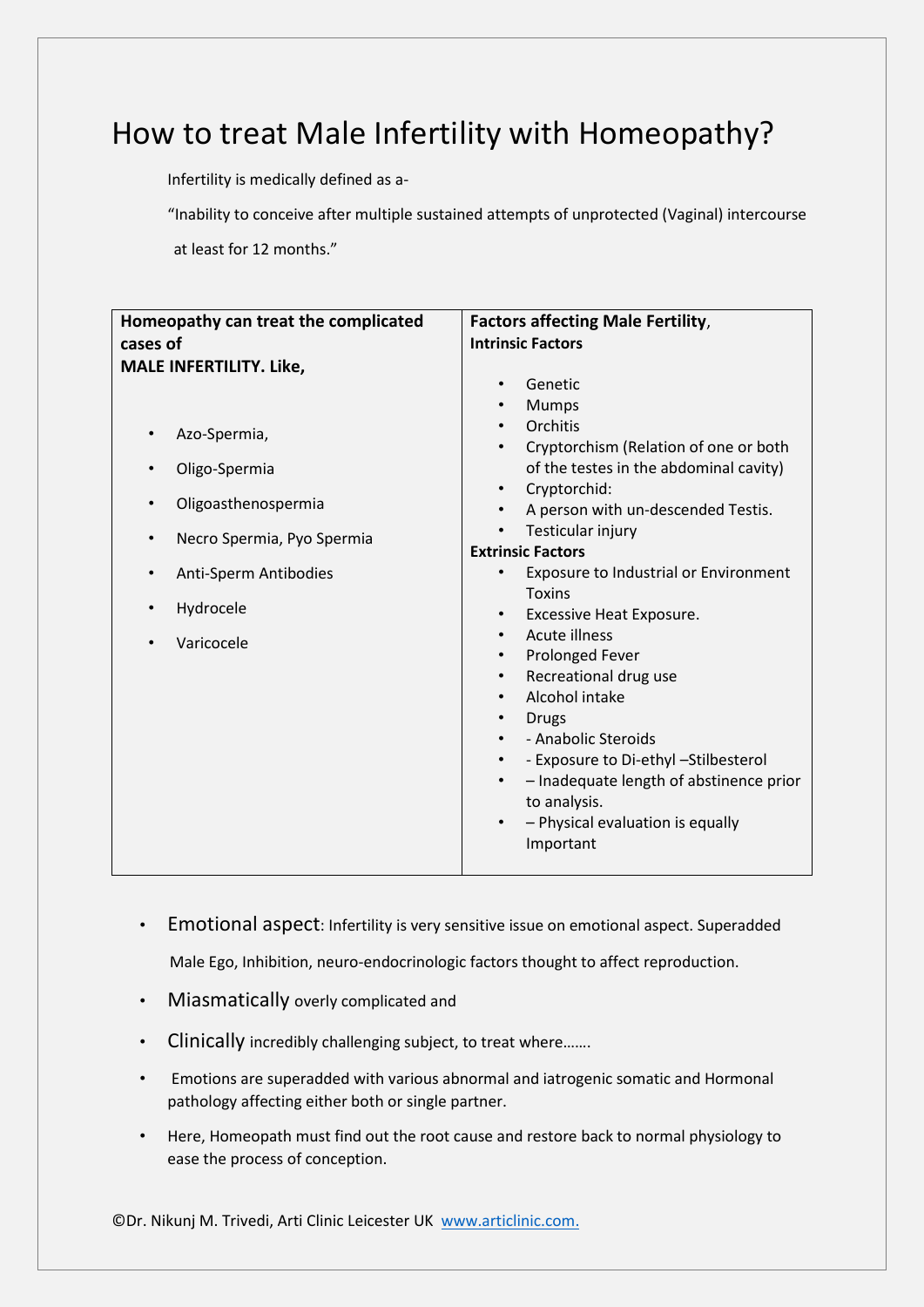# How to treat Male Infertility with Homeopathy?

Infertility is medically defined as a-

"Inability to conceive after multiple sustained attempts of unprotected (Vaginal) intercourse

at least for 12 months."

| Homeopathy can treat the complicated<br>cases of | <b>Factors affecting Male Fertility,</b><br><b>Intrinsic Factors</b> |
|--------------------------------------------------|----------------------------------------------------------------------|
|                                                  |                                                                      |
| <b>MALE INFERTILITY. Like,</b>                   | Genetic<br>$\bullet$                                                 |
|                                                  |                                                                      |
|                                                  | <b>Mumps</b>                                                         |
| Azo-Spermia,<br>$\bullet$                        | Orchitis                                                             |
|                                                  | Cryptorchism (Relation of one or both<br>$\bullet$                   |
| Oligo-Spermia<br>$\bullet$                       | of the testes in the abdominal cavity)                               |
| $\bullet$                                        | Cryptorchid:                                                         |
| Oligoasthenospermia                              | A person with un-descended Testis.                                   |
| Necro Spermia, Pyo Spermia<br>$\bullet$          | Testicular injury<br>$\bullet$                                       |
|                                                  | <b>Extrinsic Factors</b>                                             |
| Anti-Sperm Antibodies<br>$\bullet$               | <b>Exposure to Industrial or Environment</b>                         |
|                                                  | <b>Toxins</b>                                                        |
| Hydrocele<br>٠                                   | <b>Excessive Heat Exposure.</b><br>$\bullet$                         |
| $\bullet$                                        | Acute illness<br>$\bullet$                                           |
| Varicocele                                       | Prolonged Fever<br>$\bullet$                                         |
|                                                  | Recreational drug use<br>$\bullet$                                   |
|                                                  | Alcohol intake<br>$\bullet$                                          |
|                                                  | <b>Drugs</b><br>$\bullet$                                            |
|                                                  | - Anabolic Steroids                                                  |
|                                                  | - Exposure to Di-ethyl -Stilbesterol<br>$\bullet$                    |
|                                                  | - Inadequate length of abstinence prior<br>$\bullet$                 |
|                                                  | to analysis.                                                         |
|                                                  | - Physical evaluation is equally                                     |
|                                                  |                                                                      |
|                                                  | Important                                                            |
|                                                  |                                                                      |

• Emotional aspect: Infertility is very sensitive issue on emotional aspect. Superadded

Male Ego, Inhibition, neuro-endocrinologic factors thought to affect reproduction.

- Miasmatically overly complicated and
- Clinically incredibly challenging subject, to treat where.......
- Emotions are superadded with various abnormal and iatrogenic somatic and Hormonal pathology affecting either both or single partner.
- Here, Homeopath must find out the root cause and restore back to normal physiology to ease the process of conception.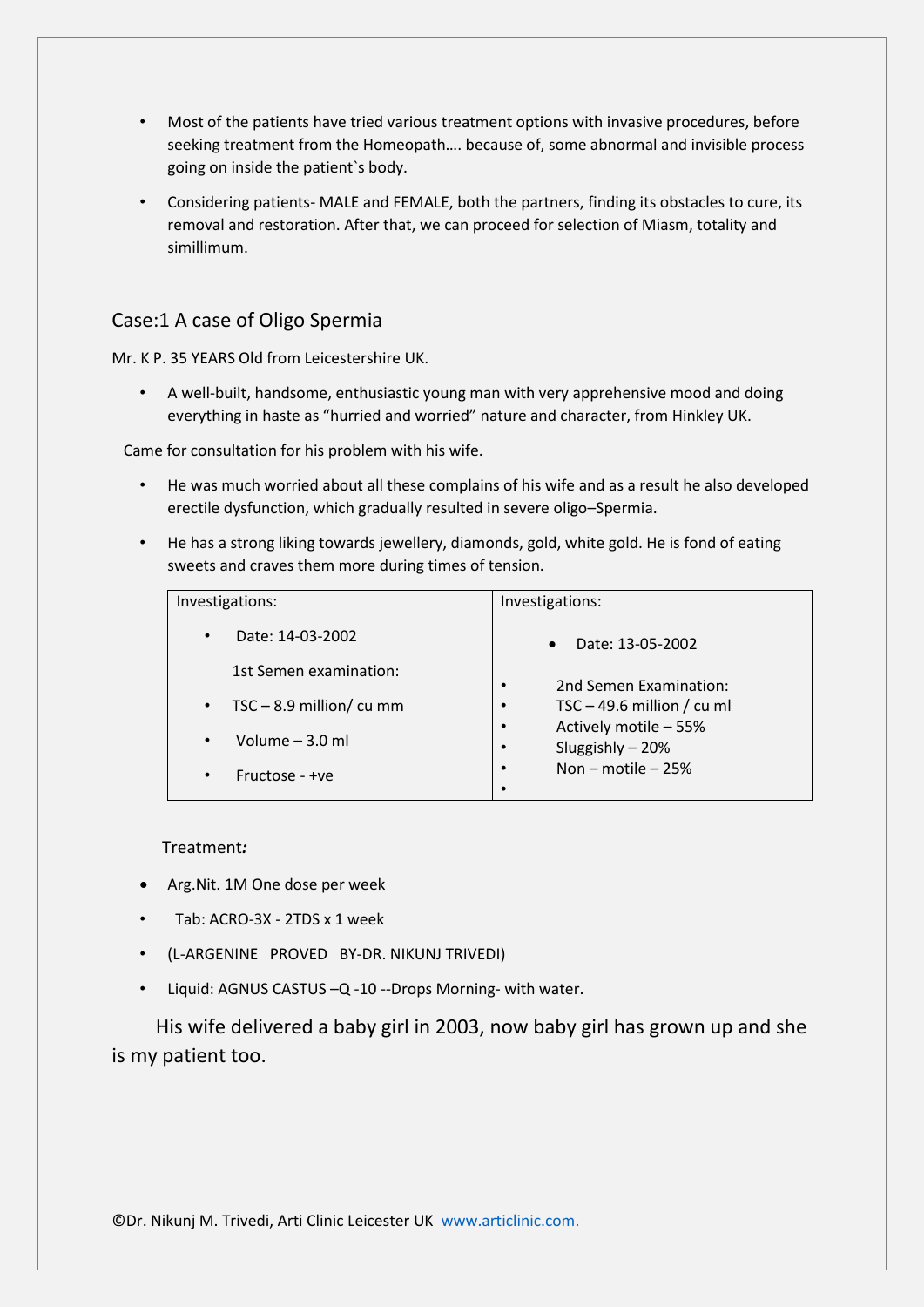- Most of the patients have tried various treatment options with invasive procedures, before seeking treatment from the Homeopath…. because of, some abnormal and invisible process going on inside the patient`s body.
- Considering patients- MALE and FEMALE, both the partners, finding its obstacles to cure, its removal and restoration. After that, we can proceed for selection of Miasm, totality and simillimum.

#### Case:1 A case of Oligo Spermia

Mr. K P. 35 YEARS Old from Leicestershire UK.

• A well-built, handsome, enthusiastic young man with very apprehensive mood and doing everything in haste as "hurried and worried" nature and character, from Hinkley UK.

Came for consultation for his problem with his wife.

- He was much worried about all these complains of his wife and as a result he also developed erectile dysfunction, which gradually resulted in severe oligo–Spermia.
- He has a strong liking towards jewellery, diamonds, gold, white gold. He is fond of eating sweets and craves them more during times of tension.

| Investigations:                         | Investigations:                                                     |
|-----------------------------------------|---------------------------------------------------------------------|
| Date: 14-03-2002<br>$\bullet$           | Date: 13-05-2002<br>$\bullet$                                       |
| 1st Semen examination:                  | 2nd Semen Examination:<br>$\bullet$                                 |
| $TSC - 8.9$ million/ cu mm<br>$\bullet$ | TSC $-$ 49.6 million / cu ml<br>$\bullet$                           |
| Volume $-3.0$ ml<br>$\bullet$           | Actively motile - 55%<br>$\bullet$<br>Sluggishly - 20%<br>$\bullet$ |
| Fructose - +ve<br>$\bullet$             | Non – motile – 25%<br>$\bullet$<br>٠                                |

#### Treatment*:*

- Arg.Nit. 1M One dose per week
- Tab: ACRO-3X 2TDS x 1 week
- (L-ARGENINE PROVED BY-DR. NIKUNJ TRIVEDI)
- Liquid: AGNUS CASTUS –Q -10 --Drops Morning- with water.

 His wife delivered a baby girl in 2003, now baby girl has grown up and she is my patient too.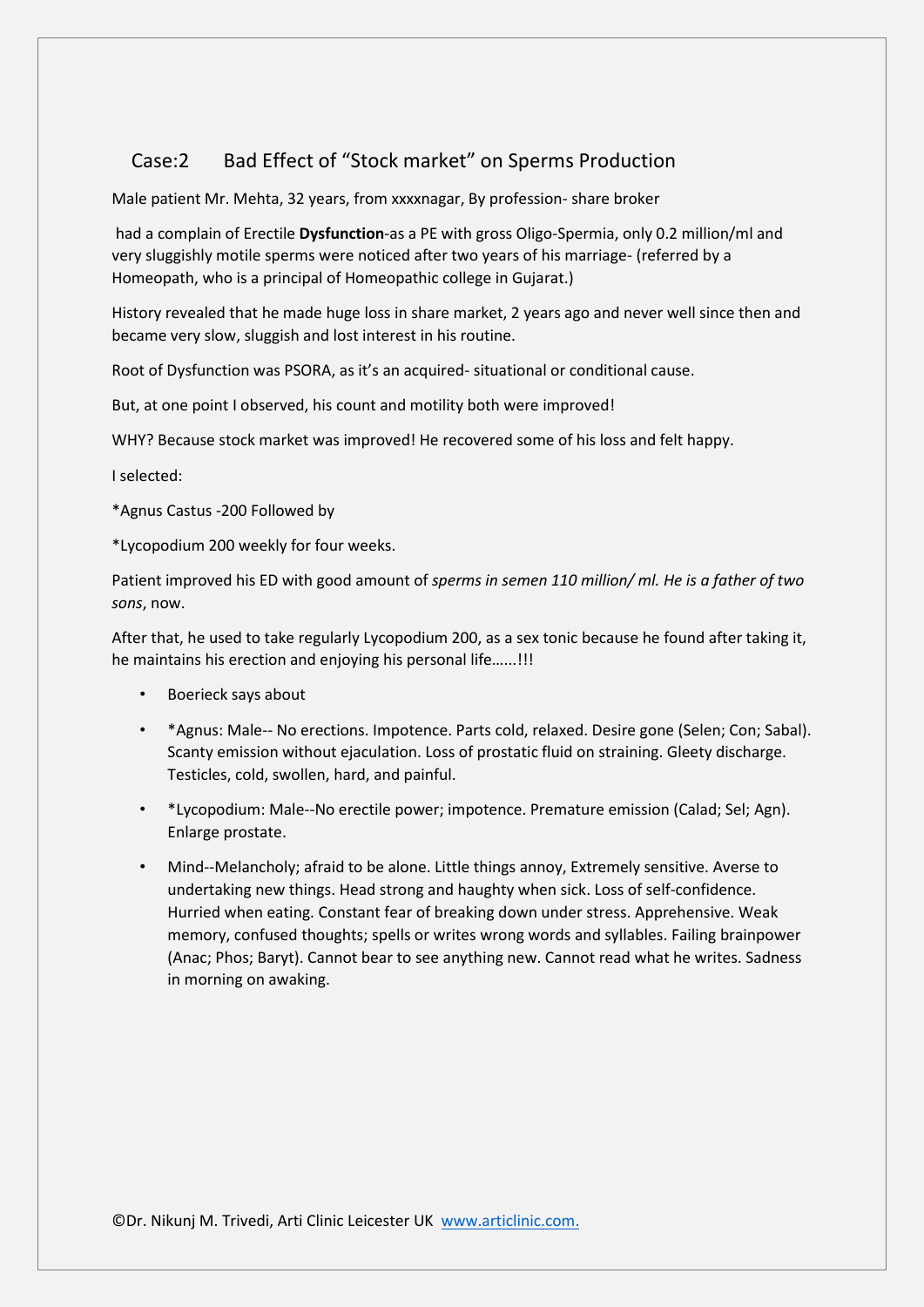## Case:2 Bad Effect of "Stock market" on Sperms Production

Male patient Mr. Mehta, 32 years, from xxxxnagar, By profession- share broker

had a complain of Erectile **Dysfunction**-as a PE with gross Oligo-Spermia, only 0.2 million/ml and very sluggishly motile sperms were noticed after two years of his marriage- (referred by a Homeopath, who is a principal of Homeopathic college in Gujarat.)

History revealed that he made huge loss in share market, 2 years ago and never well since then and became very slow, sluggish and lost interest in his routine.

Root of Dysfunction was PSORA, as it's an acquired- situational or conditional cause.

But, at one point I observed, his count and motility both were improved!

WHY? Because stock market was improved! He recovered some of his loss and felt happy.

I selected:

\*Agnus Castus -200 Followed by

\*Lycopodium 200 weekly for four weeks.

Patient improved his ED with good amount of *sperms in semen 110 million/ ml. He is a father of two sons*, now.

After that, he used to take regularly Lycopodium 200, as a sex tonic because he found after taking it, he maintains his erection and enjoying his personal life…...!!!

- Boerieck says about
- \*Agnus: Male-- No erections. Impotence. Parts cold, relaxed. Desire gone (Selen; Con; Sabal). Scanty emission without ejaculation. Loss of prostatic fluid on straining. Gleety discharge. Testicles, cold, swollen, hard, and painful.
- \*Lycopodium: Male--No erectile power; impotence. Premature emission (Calad; Sel; Agn). Enlarge prostate.
- Mind--Melancholy; afraid to be alone. Little things annoy, Extremely sensitive. Averse to undertaking new things. Head strong and haughty when sick. Loss of self-confidence. Hurried when eating. Constant fear of breaking down under stress. Apprehensive. Weak memory, confused thoughts; spells or writes wrong words and syllables. Failing brainpower (Anac; Phos; Baryt). Cannot bear to see anything new. Cannot read what he writes. Sadness in morning on awaking.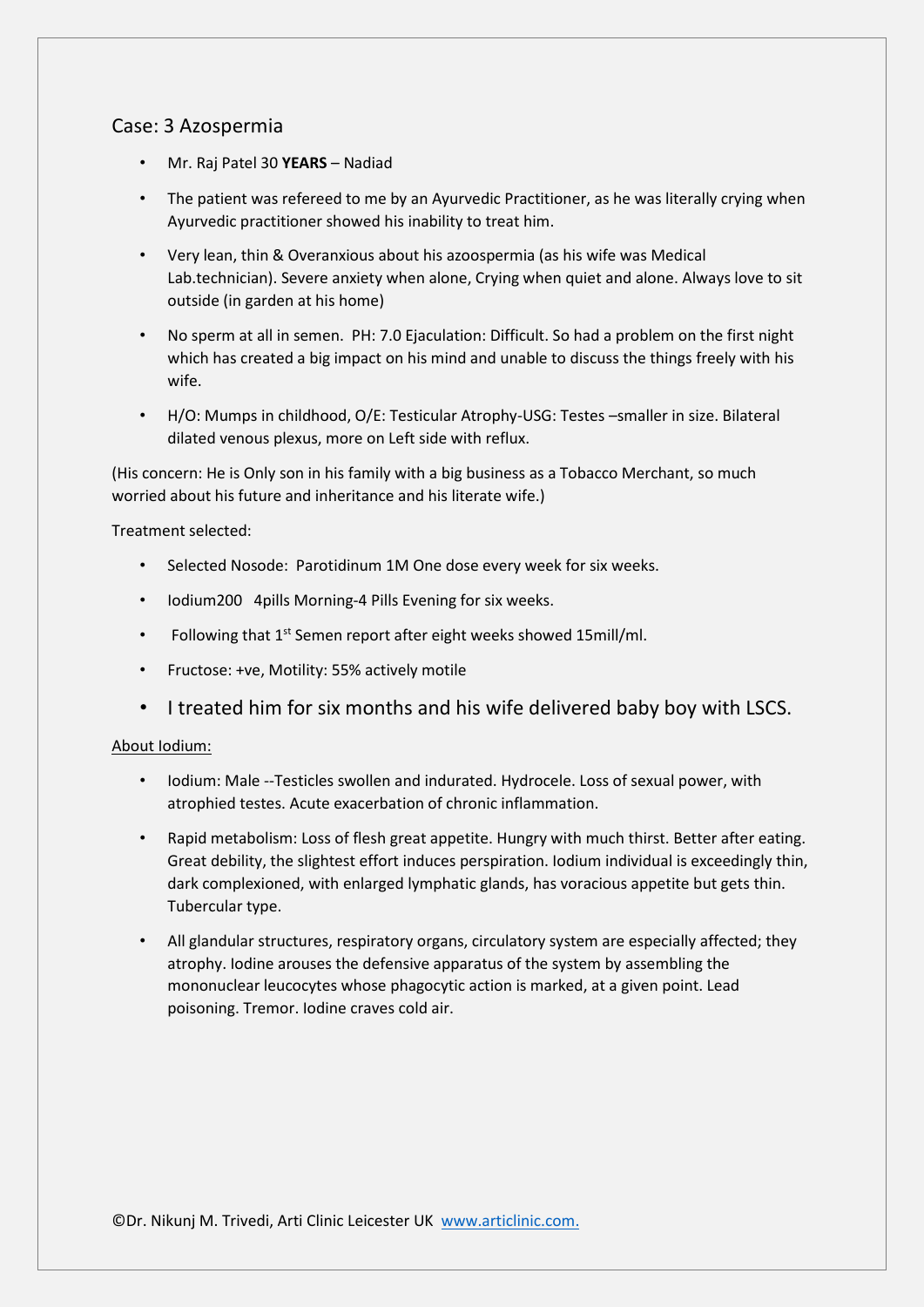#### Case: 3 Azospermia

- Mr. Raj Patel 30 **YEARS**  Nadiad
- The patient was refereed to me by an Ayurvedic Practitioner, as he was literally crying when Ayurvedic practitioner showed his inability to treat him.
- Very lean, thin & Overanxious about his azoospermia (as his wife was Medical Lab.technician). Severe anxiety when alone, Crying when quiet and alone. Always love to sit outside (in garden at his home)
- No sperm at all in semen. PH: 7.0 Ejaculation: Difficult. So had a problem on the first night which has created a big impact on his mind and unable to discuss the things freely with his wife.
- H/O: Mumps in childhood, O/E: Testicular Atrophy-USG: Testes –smaller in size. Bilateral dilated venous plexus, more on Left side with reflux.

(His concern: He is Only son in his family with a big business as a Tobacco Merchant, so much worried about his future and inheritance and his literate wife.)

Treatment selected:

- Selected Nosode: Parotidinum 1M One dose every week for six weeks.
- Iodium200 4pills Morning-4 Pills Evening for six weeks.
- Following that 1<sup>st</sup> Semen report after eight weeks showed 15mill/ml.
- Fructose: +ve, Motility: 55% actively motile
- I treated him for six months and his wife delivered baby boy with LSCS.

#### About Iodium:

- Iodium: Male --Testicles swollen and indurated. Hydrocele. Loss of sexual power, with atrophied testes. Acute exacerbation of chronic inflammation.
- Rapid metabolism: Loss of flesh great appetite. Hungry with much thirst. Better after eating. Great debility, the slightest effort induces perspiration. Iodium individual is exceedingly thin, dark complexioned, with enlarged lymphatic glands, has voracious appetite but gets thin. Tubercular type.
- All glandular structures, respiratory organs, circulatory system are especially affected; they atrophy. Iodine arouses the defensive apparatus of the system by assembling the mononuclear leucocytes whose phagocytic action is marked, at a given point. Lead poisoning. Tremor. Iodine craves cold air.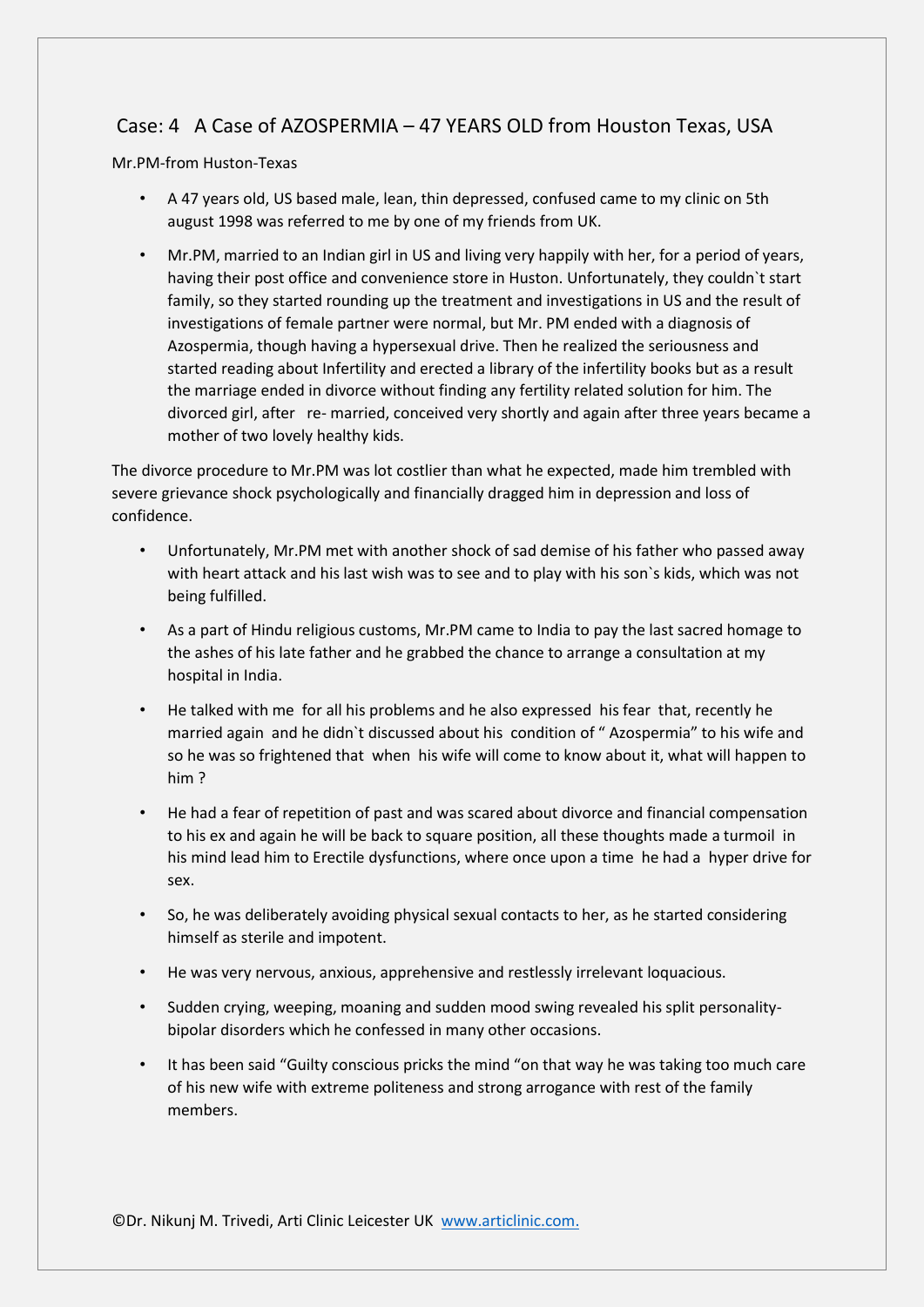## Case: 4 A Case of AZOSPERMIA – 47 YEARS OLD from Houston Texas, USA

Mr.PM-from Huston-Texas

- A 47 years old, US based male, lean, thin depressed, confused came to my clinic on 5th august 1998 was referred to me by one of my friends from UK.
- Mr.PM, married to an Indian girl in US and living very happily with her, for a period of years, having their post office and convenience store in Huston. Unfortunately, they couldn`t start family, so they started rounding up the treatment and investigations in US and the result of investigations of female partner were normal, but Mr. PM ended with a diagnosis of Azospermia, though having a hypersexual drive. Then he realized the seriousness and started reading about Infertility and erected a library of the infertility books but as a result the marriage ended in divorce without finding any fertility related solution for him. The divorced girl, after re- married, conceived very shortly and again after three years became a mother of two lovely healthy kids.

The divorce procedure to Mr.PM was lot costlier than what he expected, made him trembled with severe grievance shock psychologically and financially dragged him in depression and loss of confidence.

- Unfortunately, Mr.PM met with another shock of sad demise of his father who passed away with heart attack and his last wish was to see and to play with his son`s kids, which was not being fulfilled.
- As a part of Hindu religious customs, Mr.PM came to India to pay the last sacred homage to the ashes of his late father and he grabbed the chance to arrange a consultation at my hospital in India.
- He talked with me for all his problems and he also expressed his fear that, recently he married again and he didn`t discussed about his condition of " Azospermia" to his wife and so he was so frightened that when his wife will come to know about it, what will happen to him ?
- He had a fear of repetition of past and was scared about divorce and financial compensation to his ex and again he will be back to square position, all these thoughts made a turmoil in his mind lead him to Erectile dysfunctions, where once upon a time he had a hyper drive for sex.
- So, he was deliberately avoiding physical sexual contacts to her, as he started considering himself as sterile and impotent.
- He was very nervous, anxious, apprehensive and restlessly irrelevant loquacious.
- Sudden crying, weeping, moaning and sudden mood swing revealed his split personalitybipolar disorders which he confessed in many other occasions.
- It has been said "Guilty conscious pricks the mind "on that way he was taking too much care of his new wife with extreme politeness and strong arrogance with rest of the family members.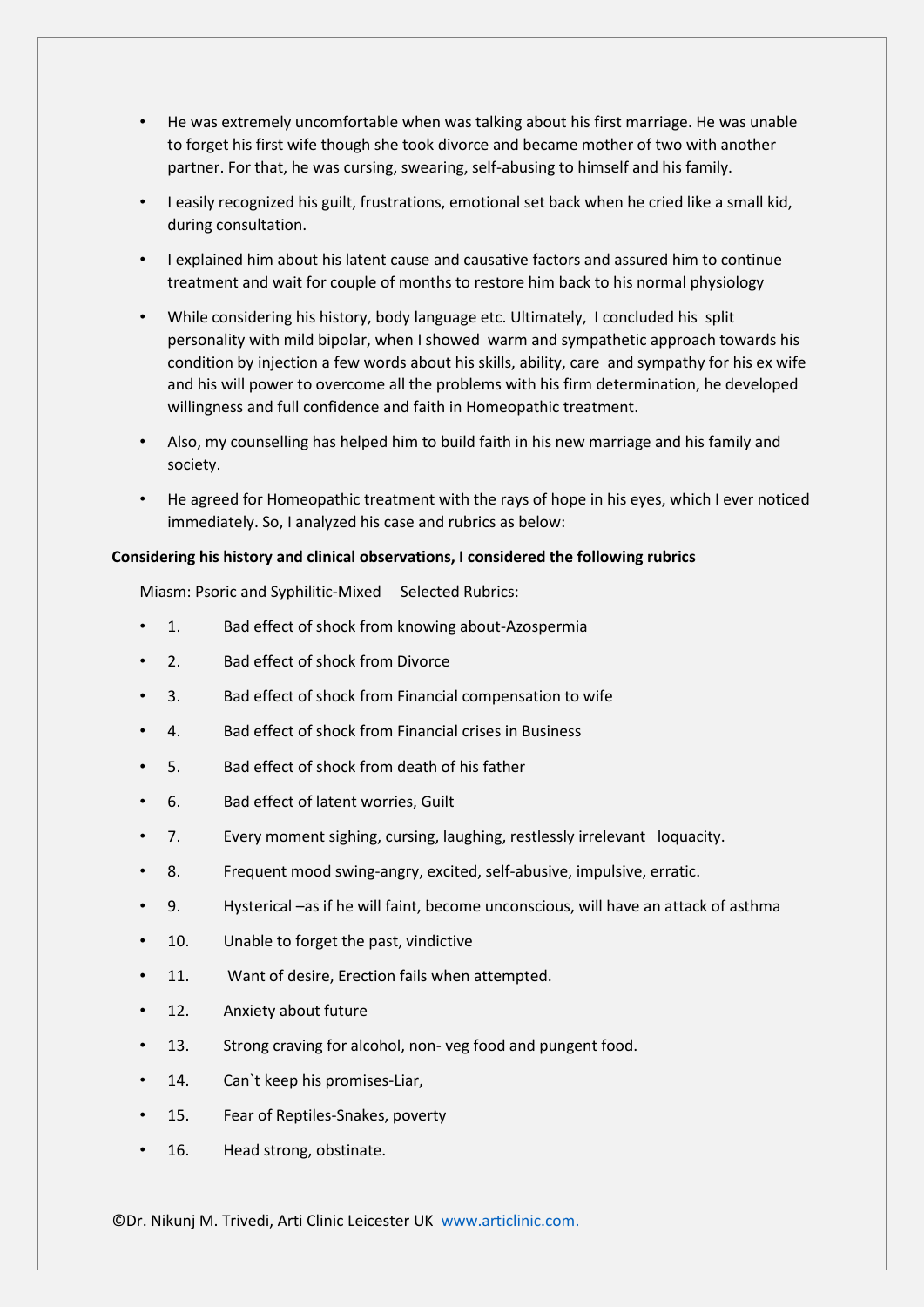- He was extremely uncomfortable when was talking about his first marriage. He was unable to forget his first wife though she took divorce and became mother of two with another partner. For that, he was cursing, swearing, self-abusing to himself and his family.
- I easily recognized his guilt, frustrations, emotional set back when he cried like a small kid, during consultation.
- I explained him about his latent cause and causative factors and assured him to continue treatment and wait for couple of months to restore him back to his normal physiology
- While considering his history, body language etc. Ultimately, I concluded his split personality with mild bipolar, when I showed warm and sympathetic approach towards his condition by injection a few words about his skills, ability, care and sympathy for his ex wife and his will power to overcome all the problems with his firm determination, he developed willingness and full confidence and faith in Homeopathic treatment.
- Also, my counselling has helped him to build faith in his new marriage and his family and society.
- He agreed for Homeopathic treatment with the rays of hope in his eyes, which I ever noticed immediately. So, I analyzed his case and rubrics as below:

#### **Considering his history and clinical observations, I considered the following rubrics**

Miasm: Psoric and Syphilitic-Mixed Selected Rubrics:

- 1. Bad effect of shock from knowing about-Azospermia
- 2. Bad effect of shock from Divorce
- 3. Bad effect of shock from Financial compensation to wife
- 4. Bad effect of shock from Financial crises in Business
- 5. Bad effect of shock from death of his father
- 6. Bad effect of latent worries, Guilt
- 7. Every moment sighing, cursing, laughing, restlessly irrelevant loquacity.
- 8. Frequent mood swing-angry, excited, self-abusive, impulsive, erratic.
- 9. Hysterical –as if he will faint, become unconscious, will have an attack of asthma
- 10. Unable to forget the past, vindictive
- 11. Want of desire, Erection fails when attempted.
- 12. Anxiety about future
- 13. Strong craving for alcohol, non- yeg food and pungent food.
- 14. Can't keep his promises-Liar.
- 15. Fear of Reptiles-Snakes, poverty
- 16. Head strong, obstinate.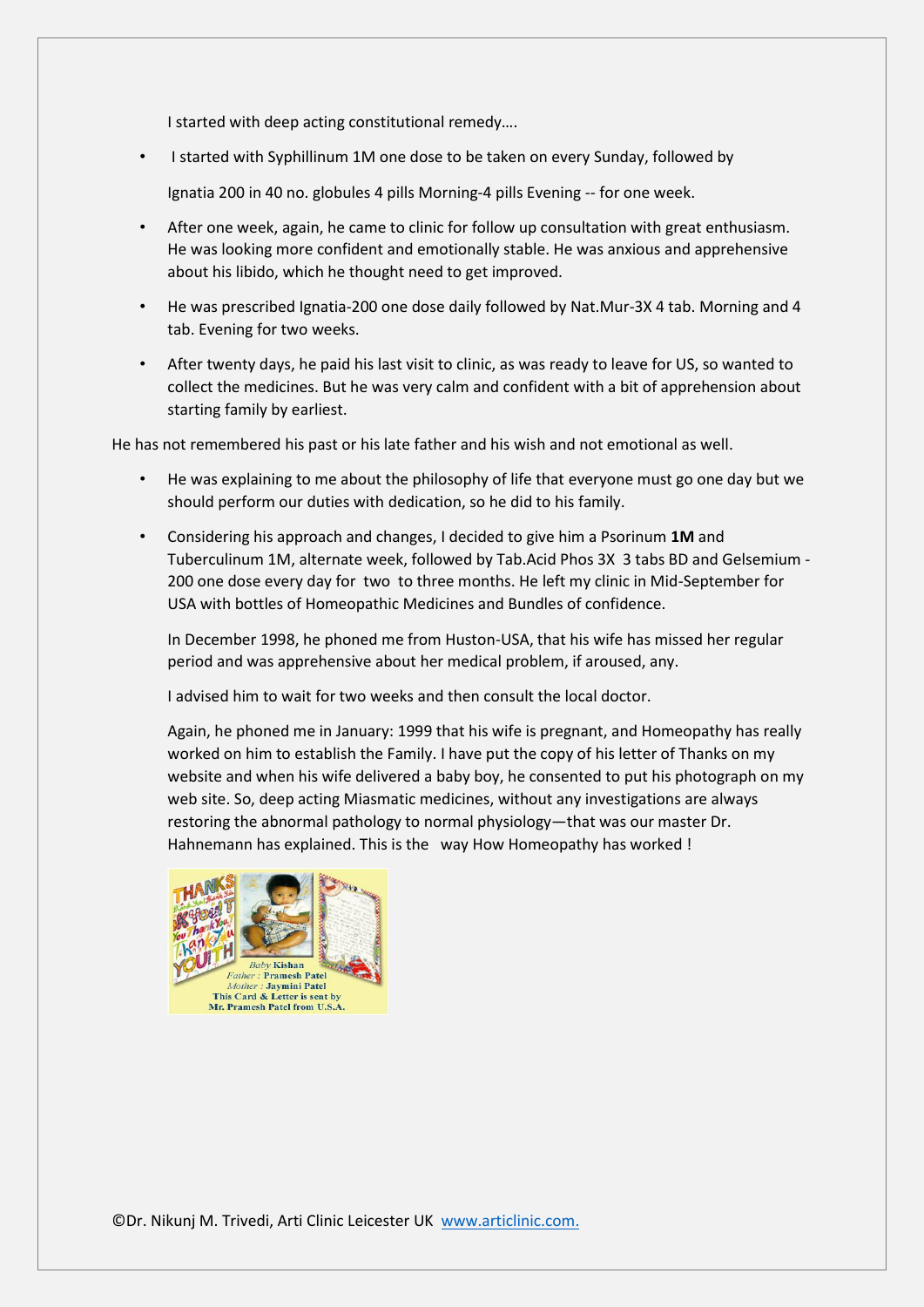I started with deep acting constitutional remedy….

• I started with Syphillinum 1M one dose to be taken on every Sunday, followed by

Ignatia 200 in 40 no. globules 4 pills Morning-4 pills Evening -- for one week.

- After one week, again, he came to clinic for follow up consultation with great enthusiasm. He was looking more confident and emotionally stable. He was anxious and apprehensive about his libido, which he thought need to get improved.
- He was prescribed Ignatia-200 one dose daily followed by Nat.Mur-3X 4 tab. Morning and 4 tab. Evening for two weeks.
- After twenty days, he paid his last visit to clinic, as was ready to leave for US, so wanted to collect the medicines. But he was very calm and confident with a bit of apprehension about starting family by earliest.

He has not remembered his past or his late father and his wish and not emotional as well.

- He was explaining to me about the philosophy of life that everyone must go one day but we should perform our duties with dedication, so he did to his family.
- Considering his approach and changes, I decided to give him a Psorinum **1M** and Tuberculinum 1M, alternate week, followed by Tab.Acid Phos 3X 3 tabs BD and Gelsemium - 200 one dose every day for two to three months. He left my clinic in Mid-September for USA with bottles of Homeopathic Medicines and Bundles of confidence.

In December 1998, he phoned me from Huston-USA, that his wife has missed her regular period and was apprehensive about her medical problem, if aroused, any.

I advised him to wait for two weeks and then consult the local doctor.

Again, he phoned me in January: 1999 that his wife is pregnant, and Homeopathy has really worked on him to establish the Family. I have put the copy of his letter of Thanks on my website and when his wife delivered a baby boy, he consented to put his photograph on my web site. So, deep acting Miasmatic medicines, without any investigations are always restoring the abnormal pathology to normal physiology—that was our master Dr. Hahnemann has explained. This is the way How Homeopathy has worked !